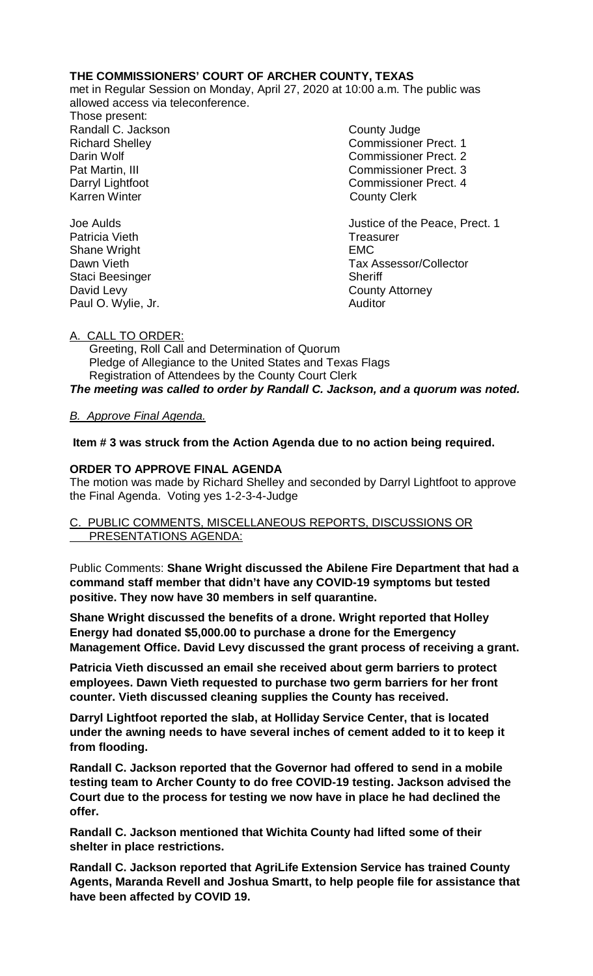# **THE COMMISSIONERS' COURT OF ARCHER COUNTY, TEXAS**

met in Regular Session on Monday, April 27, 2020 at 10:00 a.m. The public was allowed access via teleconference.

- Those present: Randall C. Jackson County Judge Karren Winter **County Clerk**
- Richard Shelley Commissioner Prect. 1 Darin Wolf Commissioner Prect. 2 Pat Martin, III Commissioner Prect. 3 Darryl Lightfoot Commissioner Prect. 4

Joe Aulds Justice of the Peace, Prect. 1 Dawn Vieth Tax Assessor/Collector

Patricia Vieth Treasurer Shane Wright **EMC** Staci Beesinger Sheriff David Levy **County Attorney** Paul O. Wylie, Jr. **Auditor** 

A. CALL TO ORDER:

 Greeting, Roll Call and Determination of Quorum Pledge of Allegiance to the United States and Texas Flags Registration of Attendees by the County Court Clerk *The meeting was called to order by Randall C. Jackson, and a quorum was noted.*

# *B. Approve Final Agenda.*

**Item # 3 was struck from the Action Agenda due to no action being required.**

# **ORDER TO APPROVE FINAL AGENDA**

The motion was made by Richard Shelley and seconded by Darryl Lightfoot to approve the Final Agenda. Voting yes 1-2-3-4-Judge

# C. PUBLIC COMMENTS, MISCELLANEOUS REPORTS, DISCUSSIONS OR PRESENTATIONS AGENDA:

Public Comments: **Shane Wright discussed the Abilene Fire Department that had a command staff member that didn't have any COVID-19 symptoms but tested positive. They now have 30 members in self quarantine.**

**Shane Wright discussed the benefits of a drone. Wright reported that Holley Energy had donated \$5,000.00 to purchase a drone for the Emergency Management Office. David Levy discussed the grant process of receiving a grant.**

**Patricia Vieth discussed an email she received about germ barriers to protect employees. Dawn Vieth requested to purchase two germ barriers for her front counter. Vieth discussed cleaning supplies the County has received.** 

**Darryl Lightfoot reported the slab, at Holliday Service Center, that is located under the awning needs to have several inches of cement added to it to keep it from flooding.**

**Randall C. Jackson reported that the Governor had offered to send in a mobile testing team to Archer County to do free COVID-19 testing. Jackson advised the Court due to the process for testing we now have in place he had declined the offer.**

**Randall C. Jackson mentioned that Wichita County had lifted some of their shelter in place restrictions.** 

**Randall C. Jackson reported that AgriLife Extension Service has trained County Agents, Maranda Revell and Joshua Smartt, to help people file for assistance that have been affected by COVID 19.**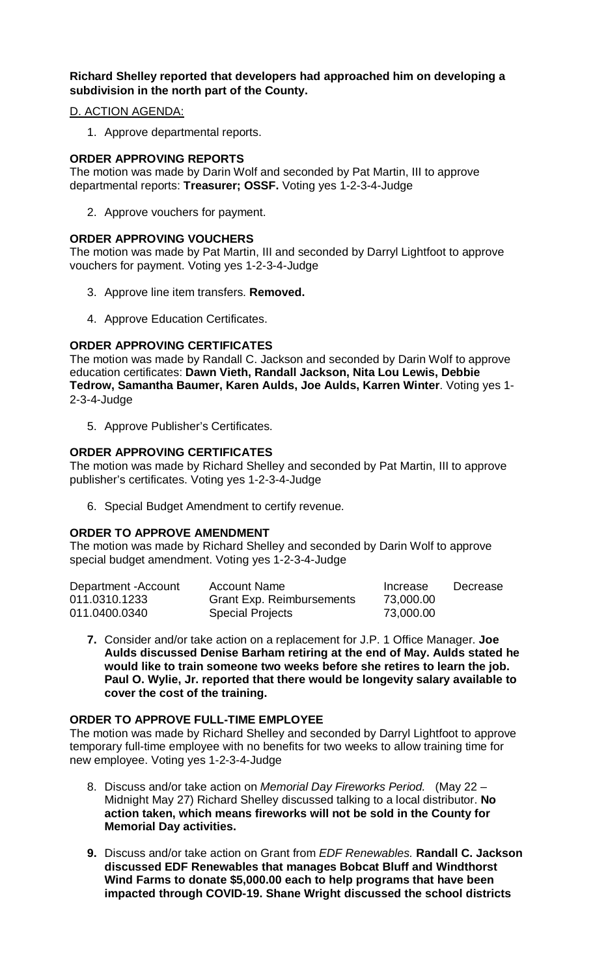# **Richard Shelley reported that developers had approached him on developing a subdivision in the north part of the County.**

### D. ACTION AGENDA:

1. Approve departmental reports.

### **ORDER APPROVING REPORTS**

The motion was made by Darin Wolf and seconded by Pat Martin, III to approve departmental reports: **Treasurer; OSSF.** Voting yes 1-2-3-4-Judge

2. Approve vouchers for payment.

# **ORDER APPROVING VOUCHERS**

The motion was made by Pat Martin, III and seconded by Darryl Lightfoot to approve vouchers for payment. Voting yes 1-2-3-4-Judge

- 3. Approve line item transfers. **Removed.**
- 4. Approve Education Certificates.

### **ORDER APPROVING CERTIFICATES**

The motion was made by Randall C. Jackson and seconded by Darin Wolf to approve education certificates: **Dawn Vieth, Randall Jackson, Nita Lou Lewis, Debbie Tedrow, Samantha Baumer, Karen Aulds, Joe Aulds, Karren Winter**. Voting yes 1- 2-3-4-Judge

5. Approve Publisher's Certificates.

### **ORDER APPROVING CERTIFICATES**

The motion was made by Richard Shelley and seconded by Pat Martin, III to approve publisher's certificates. Voting yes 1-2-3-4-Judge

6. Special Budget Amendment to certify revenue.

#### **ORDER TO APPROVE AMENDMENT**

The motion was made by Richard Shelley and seconded by Darin Wolf to approve special budget amendment. Voting yes 1-2-3-4-Judge

| Department - Account | <b>Account Name</b>              | Increase  | Decrease |
|----------------------|----------------------------------|-----------|----------|
| 011.0310.1233        | <b>Grant Exp. Reimbursements</b> | 73,000.00 |          |
| 011.0400.0340        | <b>Special Projects</b>          | 73,000.00 |          |

**7.** Consider and/or take action on a replacement for J.P. 1 Office Manager. **Joe Aulds discussed Denise Barham retiring at the end of May. Aulds stated he would like to train someone two weeks before she retires to learn the job. Paul O. Wylie, Jr. reported that there would be longevity salary available to cover the cost of the training.**

#### **ORDER TO APPROVE FULL-TIME EMPLOYEE**

The motion was made by Richard Shelley and seconded by Darryl Lightfoot to approve temporary full-time employee with no benefits for two weeks to allow training time for new employee. Voting yes 1-2-3-4-Judge

- 8. Discuss and/or take action on *Memorial Day Fireworks Period.* (May 22 Midnight May 27) Richard Shelley discussed talking to a local distributor. **No action taken, which means fireworks will not be sold in the County for Memorial Day activities.**
- **9.** Discuss and/or take action on Grant from *EDF Renewables.* **Randall C. Jackson discussed EDF Renewables that manages Bobcat Bluff and Windthorst Wind Farms to donate \$5,000.00 each to help programs that have been impacted through COVID-19. Shane Wright discussed the school districts**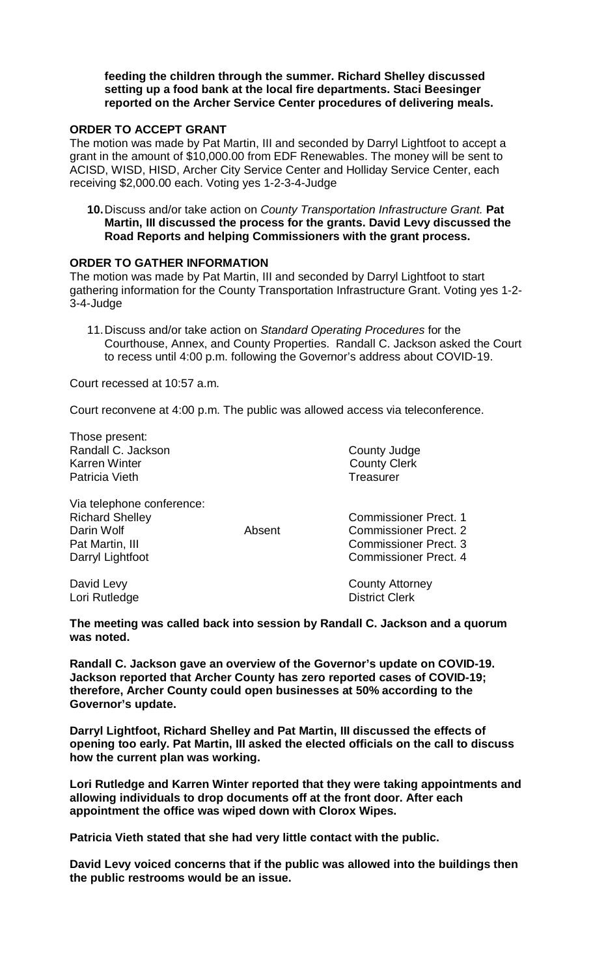#### **feeding the children through the summer. Richard Shelley discussed setting up a food bank at the local fire departments. Staci Beesinger reported on the Archer Service Center procedures of delivering meals.**

#### **ORDER TO ACCEPT GRANT**

The motion was made by Pat Martin, III and seconded by Darryl Lightfoot to accept a grant in the amount of \$10,000.00 from EDF Renewables. The money will be sent to ACISD, WISD, HISD, Archer City Service Center and Holliday Service Center, each receiving \$2,000.00 each. Voting yes 1-2-3-4-Judge

**10.**Discuss and/or take action on *County Transportation Infrastructure Grant.* **Pat Martin, III discussed the process for the grants. David Levy discussed the Road Reports and helping Commissioners with the grant process.**

### **ORDER TO GATHER INFORMATION**

The motion was made by Pat Martin, III and seconded by Darryl Lightfoot to start gathering information for the County Transportation Infrastructure Grant. Voting yes 1-2- 3-4-Judge

11.Discuss and/or take action on *Standard Operating Procedures* for the Courthouse, Annex, and County Properties. Randall C. Jackson asked the Court to recess until 4:00 p.m. following the Governor's address about COVID-19.

Court recessed at 10:57 a.m.

Court reconvene at 4:00 p.m. The public was allowed access via teleconference.

Those present: Randall C. Jackson County Judge<br>
Karren Winter County Judge<br>
County Clerk Patricia Vieth **Treasurer Treasurer** 

**County Clerk** 

Via telephone conference: Richard Shelley **Commissioner Prect. 1 Darin Wolf Commissioner Prect. 2** Pat Martin, III Commissioner Prect. 3 Darryl Lightfoot **Commissioner Prect. 4** 

Lori Rutledge

David Levy County Attorney

**The meeting was called back into session by Randall C. Jackson and a quorum was noted.**

**Randall C. Jackson gave an overview of the Governor's update on COVID-19. Jackson reported that Archer County has zero reported cases of COVID-19; therefore, Archer County could open businesses at 50% according to the Governor's update.**

**Darryl Lightfoot, Richard Shelley and Pat Martin, III discussed the effects of opening too early. Pat Martin, III asked the elected officials on the call to discuss how the current plan was working.**

**Lori Rutledge and Karren Winter reported that they were taking appointments and allowing individuals to drop documents off at the front door. After each appointment the office was wiped down with Clorox Wipes.**

**Patricia Vieth stated that she had very little contact with the public.** 

**David Levy voiced concerns that if the public was allowed into the buildings then the public restrooms would be an issue.**